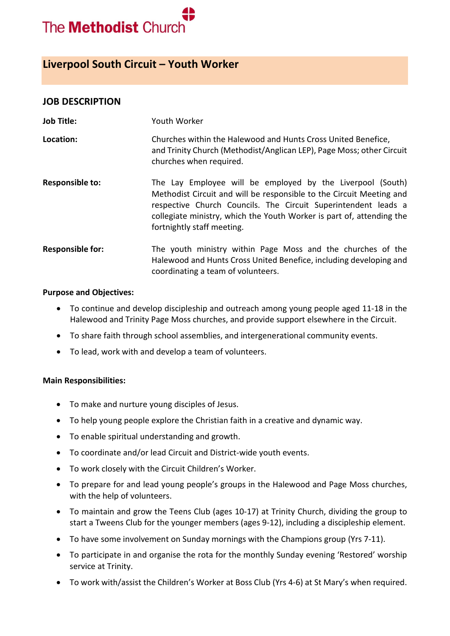

# **Liverpool South Circuit – Youth Worker**

### **JOB DESCRIPTION**

| <b>Job Title:</b>       | Youth Worker                                                                                                                                                                                                                                                                                                |
|-------------------------|-------------------------------------------------------------------------------------------------------------------------------------------------------------------------------------------------------------------------------------------------------------------------------------------------------------|
| Location:               | Churches within the Halewood and Hunts Cross United Benefice,<br>and Trinity Church (Methodist/Anglican LEP), Page Moss; other Circuit<br>churches when required.                                                                                                                                           |
| <b>Responsible to:</b>  | The Lay Employee will be employed by the Liverpool (South)<br>Methodist Circuit and will be responsible to the Circuit Meeting and<br>respective Church Councils. The Circuit Superintendent leads a<br>collegiate ministry, which the Youth Worker is part of, attending the<br>fortnightly staff meeting. |
| <b>Responsible for:</b> | The youth ministry within Page Moss and the churches of the<br>Halewood and Hunts Cross United Benefice, including developing and<br>coordinating a team of volunteers.                                                                                                                                     |

#### **Purpose and Objectives:**

- To continue and develop discipleship and outreach among young people aged 11-18 in the Halewood and Trinity Page Moss churches, and provide support elsewhere in the Circuit.
- To share faith through school assemblies, and intergenerational community events.
- To lead, work with and develop a team of volunteers.

#### **Main Responsibilities:**

- To make and nurture young disciples of Jesus.
- To help young people explore the Christian faith in a creative and dynamic way.
- To enable spiritual understanding and growth.
- To coordinate and/or lead Circuit and District-wide youth events.
- To work closely with the Circuit Children's Worker.
- To prepare for and lead young people's groups in the Halewood and Page Moss churches, with the help of volunteers.
- To maintain and grow the Teens Club (ages 10-17) at Trinity Church, dividing the group to start a Tweens Club for the younger members (ages 9-12), including a discipleship element.
- To have some involvement on Sunday mornings with the Champions group (Yrs 7-11).
- To participate in and organise the rota for the monthly Sunday evening 'Restored' worship service at Trinity.
- To work with/assist the Children's Worker at Boss Club (Yrs 4-6) at St Mary's when required.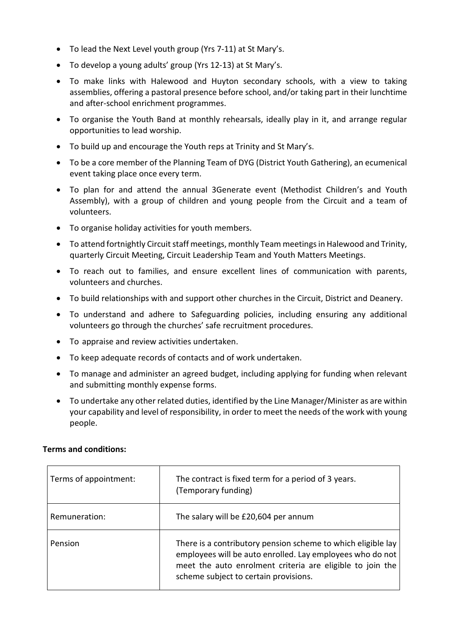- To lead the Next Level youth group (Yrs 7-11) at St Mary's.
- To develop a young adults' group (Yrs 12-13) at St Mary's.
- To make links with Halewood and Huyton secondary schools, with a view to taking assemblies, offering a pastoral presence before school, and/or taking part in their lunchtime and after-school enrichment programmes.
- To organise the Youth Band at monthly rehearsals, ideally play in it, and arrange regular opportunities to lead worship.
- To build up and encourage the Youth reps at Trinity and St Mary's.
- To be a core member of the Planning Team of DYG (District Youth Gathering), an ecumenical event taking place once every term.
- To plan for and attend the annual 3Generate event (Methodist Children's and Youth Assembly), with a group of children and young people from the Circuit and a team of volunteers.
- To organise holiday activities for youth members.
- To attend fortnightly Circuit staff meetings, monthly Team meetings in Halewood and Trinity, quarterly Circuit Meeting, Circuit Leadership Team and Youth Matters Meetings.
- To reach out to families, and ensure excellent lines of communication with parents, volunteers and churches.
- To build relationships with and support other churches in the Circuit, District and Deanery.
- To understand and adhere to Safeguarding policies, including ensuring any additional volunteers go through the churches' safe recruitment procedures.
- To appraise and review activities undertaken.
- To keep adequate records of contacts and of work undertaken.
- To manage and administer an agreed budget, including applying for funding when relevant and submitting monthly expense forms.
- To undertake any other related duties, identified by the Line Manager/Minister as are within your capability and level of responsibility, in order to meet the needs of the work with young people.

#### **Terms and conditions:**

| Terms of appointment: | The contract is fixed term for a period of 3 years.<br>(Temporary funding)                                                                                                                                                      |
|-----------------------|---------------------------------------------------------------------------------------------------------------------------------------------------------------------------------------------------------------------------------|
| Remuneration:         | The salary will be £20,604 per annum                                                                                                                                                                                            |
| Pension               | There is a contributory pension scheme to which eligible lay<br>employees will be auto enrolled. Lay employees who do not<br>meet the auto enrolment criteria are eligible to join the<br>scheme subject to certain provisions. |